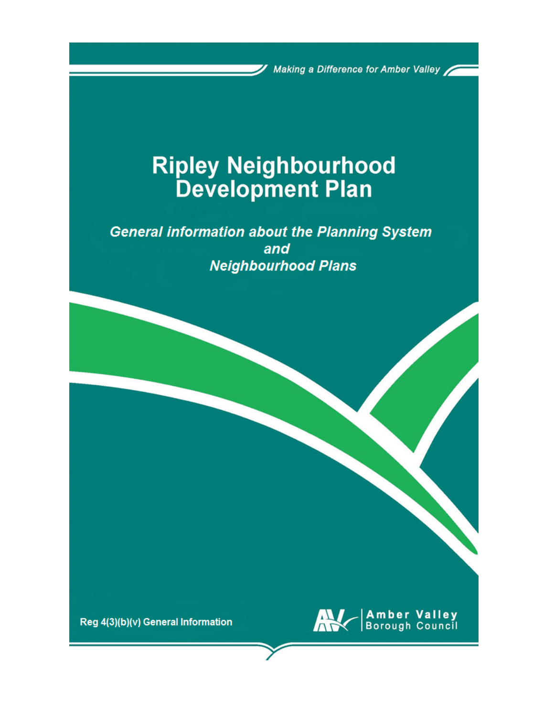Making a Difference for Amber Valley

# **Ripley Neighbourhood**<br>Development Plan

**General information about the Planning System** and **Neighbourhood Plans** 

Reg 4(3)(b)(v) General Information

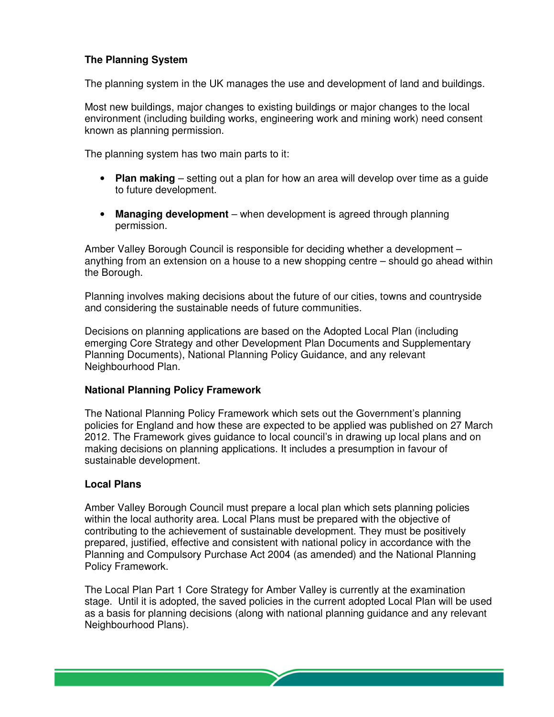# **The Planning System**

The planning system in the UK manages the use and development of land and buildings.

Most new buildings, major changes to existing buildings or major changes to the local environment (including building works, engineering work and mining work) need consent known as planning permission.

The planning system has two main parts to it:

- **Plan making** setting out a plan for how an area will develop over time as a guide to future development.
- Managing development when development is agreed through planning permission.

Amber Valley Borough Council is responsible for deciding whether a development – anything from an extension on a house to a new shopping centre – should go ahead within the Borough.

Planning involves making decisions about the future of our cities, towns and countryside and considering the sustainable needs of future communities.

Decisions on planning applications are based on the Adopted Local Plan (including emerging Core Strategy and other Development Plan Documents and Supplementary Planning Documents), National Planning Policy Guidance, and any relevant Neighbourhood Plan.

### **National Planning Policy Framework**

The National Planning Policy Framework which sets out the Government's planning policies for England and how these are expected to be applied was published on 27 March 2012. The Framework gives guidance to local council's in drawing up local plans and on making decisions on planning applications. It includes a presumption in favour of sustainable development.

### **Local Plans**

Amber Valley Borough Council must prepare a local plan which sets planning policies within the local authority area. Local Plans must be prepared with the objective of contributing to the achievement of sustainable development. They must be positively prepared, justified, effective and consistent with national policy in accordance with the Planning and Compulsory Purchase Act 2004 (as amended) and the National Planning Policy Framework.

The Local Plan Part 1 Core Strategy for Amber Valley is currently at the examination stage. Until it is adopted, the saved policies in the current adopted Local Plan will be used as a basis for planning decisions (along with national planning guidance and any relevant Neighbourhood Plans).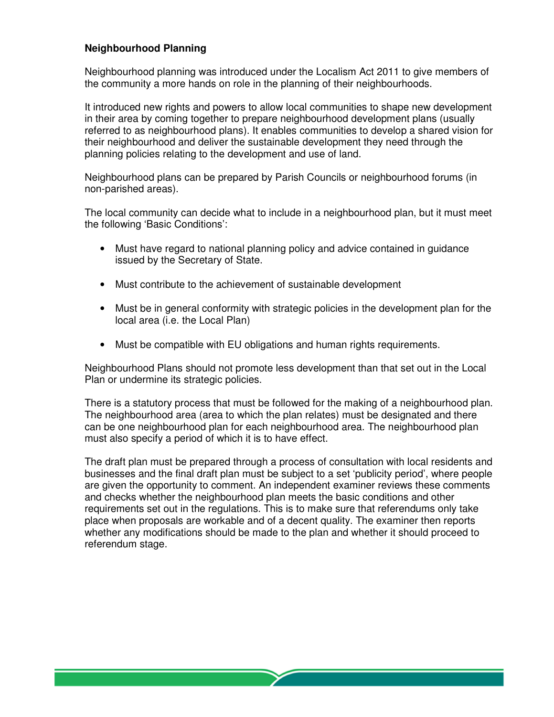# **Neighbourhood Planning**

Neighbourhood planning was introduced under the Localism Act 2011 to give members of the community a more hands on role in the planning of their neighbourhoods.

It introduced new rights and powers to allow local communities to shape new development in their area by coming together to prepare neighbourhood development plans (usually referred to as neighbourhood plans). It enables communities to develop a shared vision for their neighbourhood and deliver the sustainable development they need through the planning policies relating to the development and use of land.

Neighbourhood plans can be prepared by Parish Councils or neighbourhood forums (in non-parished areas).

The local community can decide what to include in a neighbourhood plan, but it must meet the following 'Basic Conditions':

- Must have regard to national planning policy and advice contained in guidance issued by the Secretary of State.
- Must contribute to the achievement of sustainable development
- Must be in general conformity with strategic policies in the development plan for the local area (i.e. the Local Plan)
- Must be compatible with EU obligations and human rights requirements.

Neighbourhood Plans should not promote less development than that set out in the Local Plan or undermine its strategic policies.

There is a statutory process that must be followed for the making of a neighbourhood plan. The neighbourhood area (area to which the plan relates) must be designated and there can be one neighbourhood plan for each neighbourhood area. The neighbourhood plan must also specify a period of which it is to have effect.

The draft plan must be prepared through a process of consultation with local residents and businesses and the final draft plan must be subject to a set 'publicity period', where people are given the opportunity to comment. An independent examiner reviews these comments and checks whether the neighbourhood plan meets the basic conditions and other requirements set out in the regulations. This is to make sure that referendums only take place when proposals are workable and of a decent quality. The examiner then reports whether any modifications should be made to the plan and whether it should proceed to referendum stage.